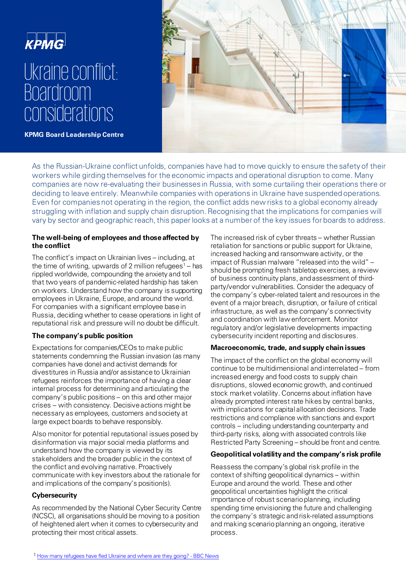

**KPMG Board Leadership Centre**



As the Russian-Ukraine conflict unfolds, companies have had to move quickly to ensure the safety of their workers while girding themselves for the economic impacts and operational disruption to come. Many companies are now re-evaluating their businesses in Russia, with some curtailing their operations there or deciding to leave entirely. Meanwhile companies with operations in Ukraine have suspended operations. Even for companies not operating in the region, the conflict adds new risks to a global economy already struggling with inflation and supply chain disruption. Recognising that the implications for companies will vary by sector and geographic reach, this paper looks at a number of the key issues for boards to address.

## **The well-being of employees and those affected by the conflict**

The conflict's impact on Ukrainian lives – including, at the time of writing, upwards of 2 million refugees<sup>1</sup> – has rippled worldwide, compounding the anxiety and toll that two years of pandemic-related hardship has taken on workers. Understand how the company is supporting employees in Ukraine, Europe, and around the world. For companies with a significant employee basein Russia, deciding whether to cease operations in light of reputational risk and pressure will no doubt be difficult.

## **The company's public position**

Expectations for companies/CEOs to make public statements condemning the Russian invasion (as many companies have done) and activist demands for divestitures in Russia and/or assistance to Ukrainian refugees reinforces the importance of having a clear internal process for determining and articulating the company's public positions – on this and other major crises – with consistency. Decisiveactions might be necessary as employees, customers andsociety at large expect boards to behave responsibly.

Also monitor for potential reputational issues posed by disinformation via major social media platforms and understand how the company is viewed by its stakeholders and the broader public in the context of the conflict and evolving narrative. Proactively communicate with key investors about the rationale for and implications of the company's position(s).

## **Cybersecurity**

As recommended by the National Cyber Security Centre (NCSC), all organisations should be moving to a position of heightened alert when it comes to cybersecurity and protecting their most critical assets.

The increased risk of cyber threats – whether Russian retaliation for sanctions or public support for Ukraine, increased hacking and ransomware activity, or the impact of Russian malware "released into the wild" – should be prompting fresh tabletop exercises, a review of business continuity plans, and assessment of thirdparty/vendor vulnerabilities. Consider the adequacy of the company's cyber-related talent and resources in the event of a major breach, disruption, or failure of critical infrastructure, as well as the company's connectivity and coordination with law enforcement. Monitor regulatory and/or legislative developments impacting cybersecurity incident reporting and disclosures.

#### **Macroeconomic, trade, and supply chain issues**

The impact of the conflict on the global economy will continue to be multidimensional and interrelated – from increased energy and food costs to supply chain disruptions, slowed economic growth, and continued stock market volatility. Concerns about inflation have already prompted interest rate hikes by central banks, with implications for capital allocation decisions. Trade restrictions and compliance with sanctions and export controls – including understanding counterparty and third-party risks, along with associated controls like Restricted Party Screening – should be front and centre.

## **Geopolitical volatility and the company's risk profile**

Reassess the company's global risk profile in the context of shifting geopolitical dynamics – within Europe and around the world. These and other geopolitical uncertainties highlight the critical importance of robust scenario planning, including spending time envisioning the future and challenging the company's strategic and risk-related assumptions and making scenario planning an ongoing, iterative process.